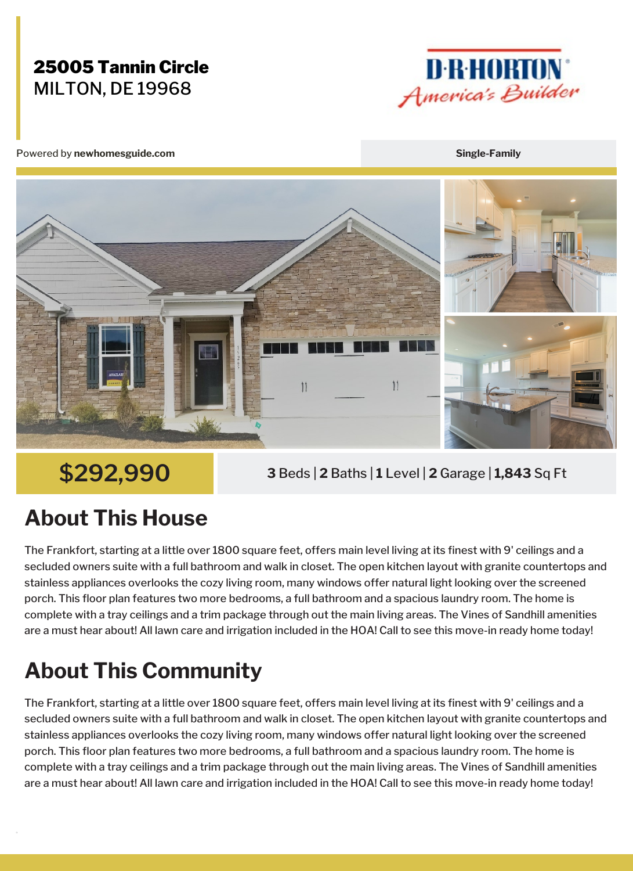### 25005 Tannin Circle MILTON, DE 19968



Powered by **newhomesguide.com Single-Family**



**\$292,990 <sup>3</sup>** Beds <sup>|</sup> **<sup>2</sup>** Baths <sup>|</sup> **<sup>1</sup>** Level <sup>|</sup> **<sup>2</sup>** Garage <sup>|</sup> **1,843** Sq Ft

## **About This House**

The Frankfort, starting at a little over 1800 square feet, offers main level living at its finest with 9' ceilings and a secluded owners suite with a full bathroom and walk in closet. The open kitchen layout with granite countertops and stainless appliances overlooks the cozy living room, many windows offer natural light looking over the screened porch. This floor plan features two more bedrooms, a full bathroom and a spacious laundry room. The home is complete with a tray ceilings and a trim package through out the main living areas. The Vines of Sandhill amenities are a must hear about! All lawn care and irrigation included in the HOA! Call to see this move-in ready home today!

# **About This Community**

The Frankfort, starting at a little over 1800 square feet, offers main level living at its finest with 9' ceilings and a secluded owners suite with a full bathroom and walk in closet. The open kitchen layout with granite countertops and stainless appliances overlooks the cozy living room, many windows offer natural light looking over the screened porch. This floor plan features two more bedrooms, a full bathroom and a spacious laundry room. The home is complete with a tray ceilings and a trim package through out the main living areas. The Vines of Sandhill amenities are a must hear about! All lawn care and irrigation included in the HOA! Call to see this move-in ready home today!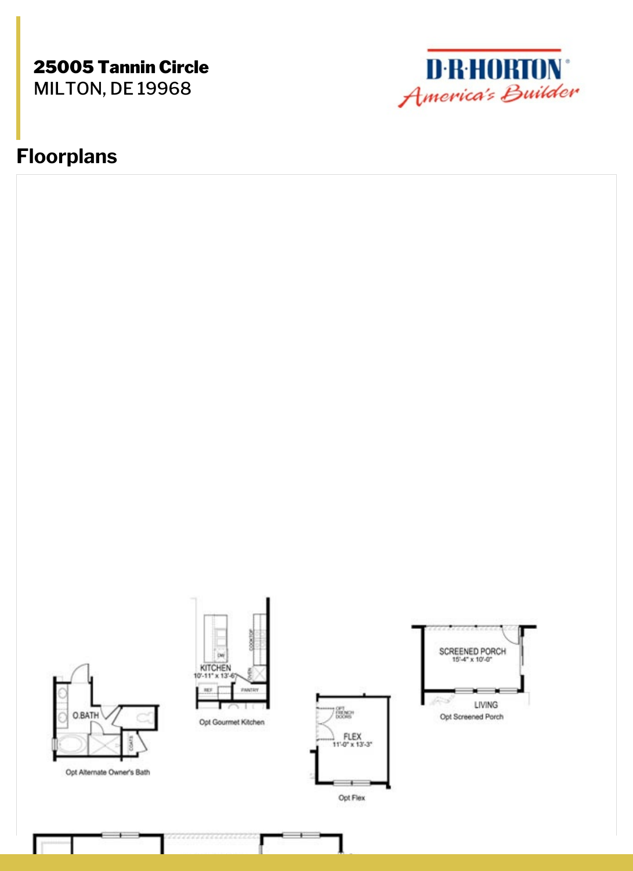#### 25005 Tannin Circle MILTON, DE 19968



### **Floorplans**